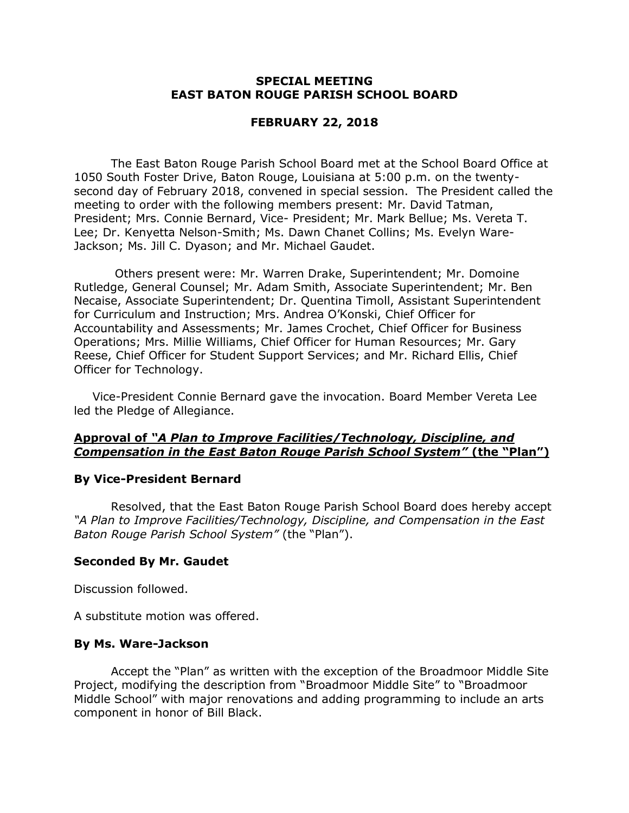# **SPECIAL MEETING EAST BATON ROUGE PARISH SCHOOL BOARD**

# **FEBRUARY 22, 2018**

The East Baton Rouge Parish School Board met at the School Board Office at 1050 South Foster Drive, Baton Rouge, Louisiana at 5:00 p.m. on the twentysecond day of February 2018, convened in special session. The President called the meeting to order with the following members present: Mr. David Tatman, President; Mrs. Connie Bernard, Vice- President; Mr. Mark Bellue; Ms. Vereta T. Lee; Dr. Kenyetta Nelson-Smith; Ms. Dawn Chanet Collins; Ms. Evelyn Ware-Jackson; Ms. Jill C. Dyason; and Mr. Michael Gaudet.

Others present were: Mr. Warren Drake, Superintendent; Mr. Domoine Rutledge, General Counsel; Mr. Adam Smith, Associate Superintendent; Mr. Ben Necaise, Associate Superintendent; Dr. Quentina Timoll, Assistant Superintendent for Curriculum and Instruction; Mrs. Andrea O'Konski, Chief Officer for Accountability and Assessments; Mr. James Crochet, Chief Officer for Business Operations; Mrs. Millie Williams, Chief Officer for Human Resources; Mr. Gary Reese, Chief Officer for Student Support Services; and Mr. Richard Ellis, Chief Officer for Technology.

Vice-President Connie Bernard gave the invocation. Board Member Vereta Lee led the Pledge of Allegiance.

# **Approval of** *"A Plan to Improve Facilities/Technology, Discipline, and*  **Compensation in the East Baton Rouge Parish School System" (the "Plan")**

#### **By Vice-President Bernard**

Resolved, that the East Baton Rouge Parish School Board does hereby accept *"A Plan to Improve Facilities/Technology, Discipline, and Compensation in the East Baton Rouge Parish School System"* (the "Plan").

#### **Seconded By Mr. Gaudet**

Discussion followed.

A substitute motion was offered.

#### **By Ms. Ware-Jackson**

Accept the "Plan" as written with the exception of the Broadmoor Middle Site Project, modifying the description from "Broadmoor Middle Site" to "Broadmoor Middle School" with major renovations and adding programming to include an arts component in honor of Bill Black.